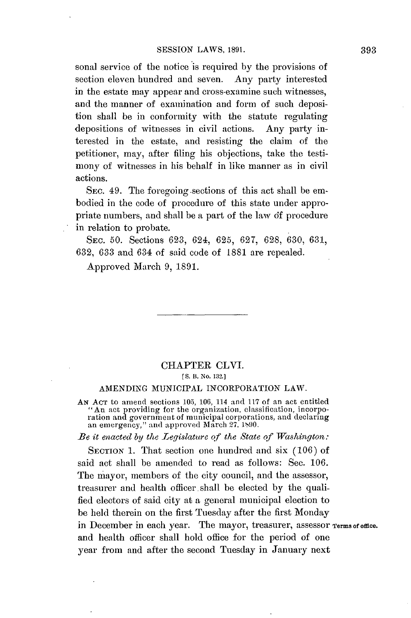sonal service of the notice is required **by** the provisions of section eleven hundred and seven. Any party interested in the estate may appear and cross-examine such witnesses, and the manner of examination and form of such deposition shall be in conformity with the statute regulating depositions of witnesses in civil actions. Any party interested in the estate, and resisting the claim of the petitioner, may, after filing his objections, take the testimony of witnesses in his behalf in like manner as in civil actions.

SEC. 49. The foregoing sections of this act shall be embodied in the code of procedure of this state under appropriate numbers, and shall be a part of the law **df** procedure in relation to probate.

**SEC. 50.** Sections **623,** 624, **625, 627, 628, 630, 631, 632, 633** and 634 of said code of **1881** are repealed.

Approved March **9, 1891.**

## CHAPTER CLVI. **[S. B.** No. **132.]**

## **AMENDING MUNICIPAL** INCORPORATION LAW.

**AN AcT** to amend sections **105, 106,** 114 and **117** of an act entitled "An act providing for the organization, classification, incorporation and government of municipal corporations, and declaring an emergency," and approved March **27. 190.**

*Be it enacted by the Legislature* **of** *the State of Washington.:*

**SECTION 1.** That section one hundred and six **(106)** of said act shall be amended to read as follows: Sec. **106.** The mayor, members of the **city** council, and the assessor, treasurer and health officer shall **be** elected **by** the qualified electors of said city at a general municipal election to be held therein on the first Tuesday after the first Monday in December in each year. The mayor, treasurer, assessor Terms of office. and health officer shall hold office for the period of one year from and after the second Tuesday in January next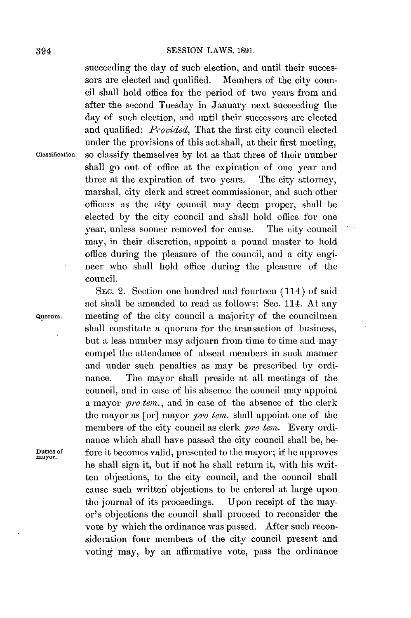succeeding the day of such election, and until their successors are elected and qualified. Members of the city council shall hold office for the period of two years from and after the second Tuesday in January next succeeding the day of such election, and until their successors are elected and qualified: *Provided,* That the first city council elected under the provisions of this act shall, at their first meeting, **classification.** so classify themselves **by** lot as that three of their number shall go out of office at the expiration of one year and three at the expiration of two years. The city attorney, marshal, city clerk and street commissioner, and such other officers as the city council may deem proper, shall be elected **by** the city council and shall hold office for one year, unless sooner removed for cause. The city council may, in their discretion, appoint a pound master to hold office during the pleasure of the council, and a city engi- **-** neer who shall hold office during the pleasure of the council.

SEC. 2. Section one hundred and fourteen (114) of said act shall be amended to read as follows: Sec. 114. At any **Quorum.** meeting of the city council a majority of the councilmen shall constitute a quorum for the transaction of business, but a less number may adjourn from time to time and may compel the attendance of absent members in such manner and under such penalties as may be prescribed by ordinance. The mayor shall preside at all meetings of the council, ind in case of his absence the council may appoint a mayor *pro tem.,* and in case of the absence of the clerk the mayor as [or] mayor *pro ten.* **shall** appoint one of the members of the city council as clerk *pro tem*. Every ordinance which shall have passed the city council shall be, be-**Duties of** fore it becomes valid, presented to the mayor; if he approves **mayor.** he shall sign it, but if not he shall return it, with his written objections, to the city council, and the council shall cause such written objections to be entered at large upon the journal of its proceedings. Upon receipt of the mayor's objections the council shall proceed to reconsider the vote **by** which the ordinance was passed. After such reconsideration four members of the city council present and voting may, **by** an affirmative vote, pass the ordinance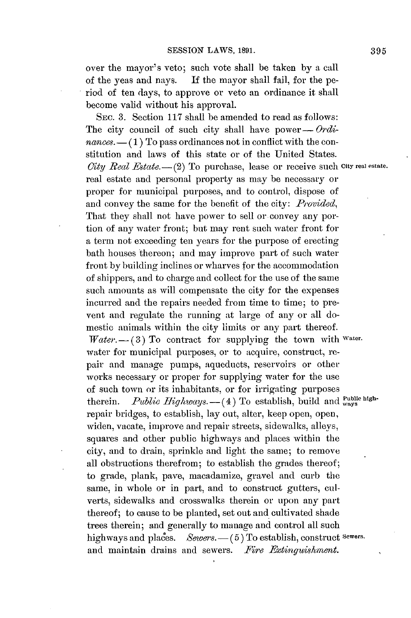over the mayor's veto; such vote shall be taken **by** a call of the yeas and nays. **If** the mayor shall fail, for the period of ten days, to approve or veto an ordinance it shall become valid without his approval.

SEc. **3.** Section **117** shall be amended to read as follows: The city council of such city shall have power— $Ordi$  $nances.$   $-$  (1) To pass ordinances not in conflict with the constitution and laws of this state or of the United States. City Real Estate. - (2) To purchase, lease or receive such City real estate. real estate and personal property as may be necessary or proper for municipal purposes, and to control, dispose of and convey the same for the benefit of the city: *Provided,* That they shall not have power to sell or convey any portion of any water front; but may rent such water front for a term not exceeding ten years for the purpose of erecting bath houses thereon; and may improve part of such water front **by** building inclines or wharves for the accommodation of shippers, and to charge and collect for the use of the same such amounts as will compensate the city for the expenses incurred and the repairs needed from time to time; to prevent and regulate the running at large of any or all domestic animals within the city limits or any part thereof. *Vater.* -- (3) To contract for supplying the town with *water.* water for municipal purposes, or to acquire, construct, repair and manage pumps, aqueducts, reservoirs or other works necessary or proper for supplying water for the use of such town or its inhabitants, or for irrigating purposes therein. *Public Highways.*  $-$  (4) To establish, build and  $\frac{public\text{ high-}}{\text{ways}}$ repair bridges, to establish, lay out, alter, keep open, open, widen, vacate, improve and repair streets, sidewalks, alleys, squares and other public highways and places within the city, and to drain, sprinkle and light the same; to remove all obstructions therefrom; to establish the grades thereof; to grade, plank, pave, macadamize, gravel and curb the same, in whole or in part, and to construct gutters, culverts, sidewalks and crosswalks therein or upon any part thereof; to cause to be planted, set out and cultivated shade trees therein; and generally to manage and control all such highways and places. *Sewers.* -- (5) To establish, construct Sewers. and maintain drains and sewers. *Fire Extinguishment.*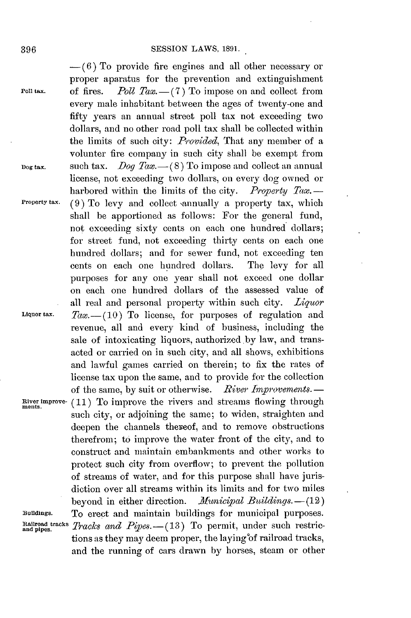**-(6)** To provide fire engines and all other necessary or proper aparatus for the prevention and extinguishment **Poll tax.** of fires.  $Poll Tax.-(7)$  To impose on and collect from every male inhabitant between the ages of twenty-one and fifty years an annual street poll tax not exceeding two dollars, and no other road poll tax shall be collected within the limits of such city: *Provided,* That any member of a volunter fire company in such city shall be exempt from **Dog tax.** such tax. *Dog Tax.-(8)* To impose and collect an annual license, not exceeding two dollars, on every dog owned or harbored within the limits of the city. *Property Tax.*-**Property tax.** (9) To levy and collect annually a property tax, which shall be apportioned as follows: For the general fund, not exceeding sixty cents on each one hundred dollars; for street fund, not exceeding thirty cents on each one hundred dollars; and for sewer fund, not exceeding ten cents on each one hundred dollars. The levy for all purposes for any one year shall not exceed one dollar on each one hundred dollars of the assessed value of all real and personal property within such city. *Liquor* **Liquor tax.** *Tax.-(10)* To license, for purposes of regulation and revenue, all and every kind of business, including the sale of intoxicating liquors, authorized by law, and transacted or carried **on** in such city, and all shows, exhibitions and lawful games carried on therein; to fix the rates of license tax upon the same, and to provide for the collection of the same, **by** suit or otherwise. *River Improvements.* **- River improve- (11)** To improve the rivers and streams flowing through such city, or adjoining the same; to widen, straighten and deepen the channels thereof, and to remove obstructions therefrom; to improve the water front of the city, and to construct and maintain embankments and other works to protect such city from overflow; to prevent the pollution of streams of water, and for this purpose shall have jurisdiction over all streams within its limits and for two miles beyond in either direction. *Municipal Buildings.* - (12) **Buildings.** To erect and maintain buildings for municipal purposes. Rallroad tracks Tracks and Pipes. -- (13) To permit, under such restrictions as they may deem proper, the laying of railroad tracks, and the running of cars drawn **by** horses., steam or other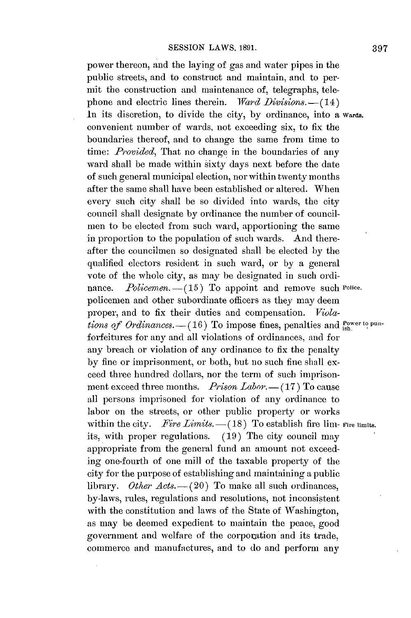power thereon, and the laying of gas and water pipes in the public streets, and to construct and maintain, and to permit the construction and maintenance of, telegraphs, telephone and electric lines therein. *Ward Divisions.*-(14) In its discretion, to divide the city, **by** ordinance, into a **wards.** convenient number of wards, not exceeding six, to fix the boundaries thereof, and to change the same from time to time: *Provided*, That no change in the boundaries of any ward shall be made within sixty days next before the date of such general municipal election, nor within twenty months after the same shall have been established or altered. When every such city shall be so divided into wards, the city council shall designate **by** ordinance the number of councilmen to be elected from such ward, apportioning the same in proportion to the population of such wards. And thereafter the councilmen so designated shall be elected **by** the qualified electors resident in such ward, or **by** a general vote of the whole city, as may be designated in such ordinance. *Policemen.* - (15) To appoint and remove such Police. policemen and other subordinate officers as they may deem proper, and to fix their duties and compensation. *Violations of Ordinances.*  $-(16)$  To impose fines, penalties and <sup>Power to pun-</sup> forfeitures for any and all violations of ordinances, and for any breach or violation of any ordinance to fix the penalty **by** fine or imprisonment, or both, but no such fine shall exceed three hundred dollars, nor the term of such imprisonment exceed three months. *Prison Labor.* -- (17) To cause **all** persons imprisoned for violation of any ordinance to labor on the streets, or other public property or works within the city. *Fire Limits.* $-(18)$  To establish fire lim- Fire limits. its, with proper regulations. **(19)** The city council may appropriate from the general fund an amount not exceeding one-fourth of one mill of the taxable property of the city for the purpose of establishing and maintaining a public library. *Other Acts.* -- (20) To make all such ordinances, by-laws, rules, regulations and resolutions, not inconsistent with the constitution and laws of the State of Washington, as may be deemed expedient to maintain the peace, good government and welfare of the corporation and its trade, commerce and manufactures, and to do and perform any